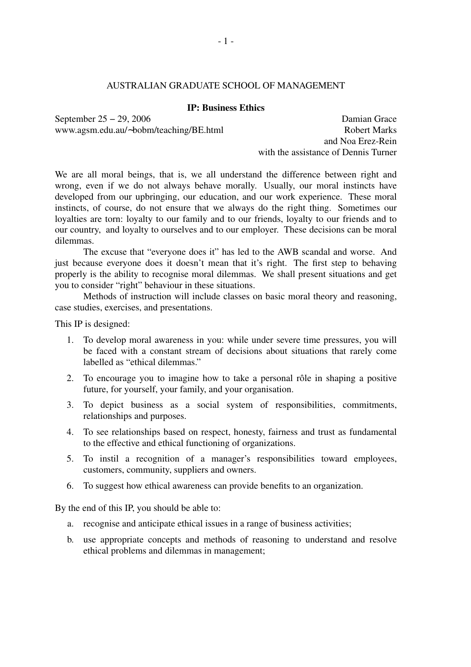### AUSTRALIAN GRADUATE SCHOOL OF MANAGEMENT

#### **IP: Business Ethics**

www.agsm.edu.au/∼bobm/teaching/BE.html Robert Marks

September 25 − 29, 2006 Damian Grace and Noa Erez-Rein with the assistance of Dennis Turner

We are all moral beings, that is, we all understand the difference between right and wrong, even if we do not always behave morally. Usually, our moral instincts have developed from our upbringing, our education, and our work experience. These moral instincts, of course, do not ensure that we always do the right thing. Sometimes our loyalties are torn: loyalty to our family and to our friends, loyalty to our friends and to our country, and loyalty to ourselves and to our employer. These decisions can be moral dilemmas.

The excuse that "everyone does it" has led to the AWB scandal and worse. And just because everyone does it doesn't mean that it's right. The first step to behaving properly is the ability to recognise moral dilemmas. We shall present situations and get you to consider "right" behaviour in these situations.

Methods of instruction will include classes on basic moral theory and reasoning, case studies, exercises, and presentations.

This IP is designed:

- 1. To develop moral awareness in you: while under severe time pressures, you will be faced with a constant stream of decisions about situations that rarely come labelled as "ethical dilemmas."
- 2. To encourage you to imagine how to take a personal rôle in shaping a positive future, for yourself, your family, and your organisation.
- 3. To depict business as a social system of responsibilities, commitments, relationships and purposes.
- 4. To see relationships based on respect, honesty, fairness and trust as fundamental to the effective and ethical functioning of organizations.
- 5. To instil a recognition of a manager's responsibilities toward employees, customers, community, suppliers and owners.
- 6. To suggest how ethical awareness can provide benefits to an organization.

By the end of this IP, you should be able to:

- a. recognise and anticipate ethical issues in a range of business activities;
- b. use appropriate concepts and methods of reasoning to understand and resolve ethical problems and dilemmas in management;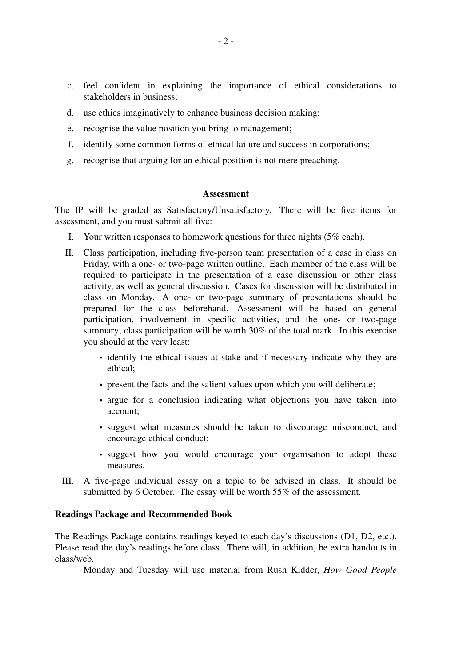- c. feel confident in explaining the importance of ethical considerations to stakeholders in business;
- d. use ethics imaginatively to enhance business decision making;
- e. recognise the value position you bring to management;
- f. identify some common forms of ethical failure and success in corporations;
- g. recognise that arguing for an ethical position is not mere preaching.

#### **Assessment**

The IP will be graded as Satisfactory/Unsatisfactory. There will be five items for assessment, and you must submit all five:

- I. Your written responses to homework questions for three nights (5% each).
- II. Class participation, including five-person team presentation of a case in class on Friday, with a one- or two-page written outline. Each member of the class will be required to participate in the presentation of a case discussion or other class activity, as well as general discussion. Cases for discussion will be distributed in class on Monday. A one- or two-page summary of presentations should be prepared for the class beforehand. Assessment will be based on general participation, involvement in specific activities, and the one- or two-page summary; class participation will be worth 30% of the total mark. In this exercise you should at the very least:
	- identify the ethical issues at stake and if necessary indicate why they are ethical;
	- present the facts and the salient values upon which you will deliberate;
	- argue for a conclusion indicating what objections you have taken into account;
	- suggest what measures should be taken to discourage misconduct, and encourage ethical conduct;
	- suggest how you would encourage your organisation to adopt these measures.
- III. A five-page individual essay on a topic to be advised in class. It should be submitted by 6 October. The essay will be worth 55% of the assessment.

#### **Readings Package and Recommended Book**

The Readings Package contains readings keyed to each day's discussions (D1, D2, etc.). Please read the day's readings before class. There will, in addition, be extra handouts in class/web.

Monday and Tuesday will use material from Rush Kidder, *How Good People*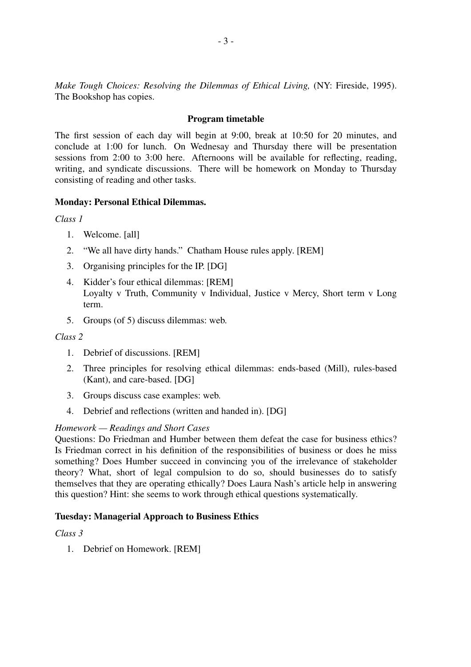*Make Tough Choices: Resolving the Dilemmas of Ethical Living,* (NY: Fireside, 1995). The Bookshop has copies.

#### **Program timetable**

The first session of each day will begin at 9:00, break at 10:50 for 20 minutes, and conclude at 1:00 for lunch. On Wednesay and Thursday there will be presentation sessions from 2:00 to 3:00 here. Afternoons will be available for reflecting, reading, writing, and syndicate discussions. There will be homework on Monday to Thursday consisting of reading and other tasks.

#### **Monday: Personal Ethical Dilemmas.**

*Class 1*

- 1. Welcome. [all]
- 2. "We all have dirty hands." Chatham House rules apply. [REM]
- 3. Organising principles for the IP. [DG]
- 4. Kidder's four ethical dilemmas: [REM] Loyalty v Truth, Community v Individual, Justice v Mercy, Short term v Long term.
- 5. Groups (of 5) discuss dilemmas: web.

#### *Class 2*

- 1. Debrief of discussions. [REM]
- 2. Three principles for resolving ethical dilemmas: ends-based (Mill), rules-based (Kant), and care-based. [DG]
- 3. Groups discuss case examples: web.
- 4. Debrief and reflections (written and handed in). [DG]

#### *Homework — Readings and Short Cases*

Questions: Do Friedman and Humber between them defeat the case for business ethics? Is Friedman correct in his definition of the responsibilities of business or does he miss something? Does Humber succeed in convincing you of the irrelevance of stakeholder theory? What, short of legal compulsion to do so, should businesses do to satisfy themselves that they are operating ethically? Does Laura Nash's article help in answering this question? Hint: she seems to work through ethical questions systematically.

#### **Tuesday: Managerial Approach to Business Ethics**

## *Class 3*

1. Debrief on Homework. [REM]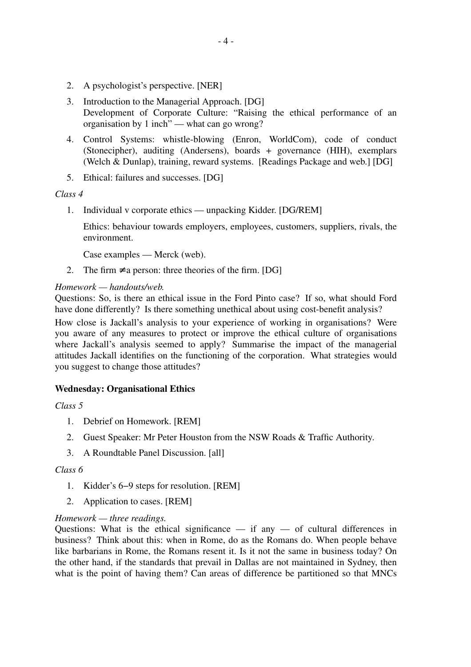- 2. A psychologist's perspective. [NER]
- 3. Introduction to the Managerial Approach. [DG] Development of Corporate Culture: "Raising the ethical performance of an organisation by 1 inch" — what can go wrong?
- 4. Control Systems: whistle-blowing (Enron, WorldCom), code of conduct (Stonecipher), auditing (Andersens), boards + governance (HIH), exemplars (Welch & Dunlap), training, reward systems. [Readings Package and web.] [DG]
- 5. Ethical: failures and successes. [DG]

#### *Class 4*

1. Individual v corporate ethics — unpacking Kidder. [DG/REM]

Ethics: behaviour towards employers, employees, customers, suppliers, rivals, the environment.

Case examples — Merck (web).

2. The firm  $\neq$  a person: three theories of the firm. [DG]

## *Homework — handouts/web.*

Questions: So, is there an ethical issue in the Ford Pinto case? If so, what should Ford have done differently? Is there something unethical about using cost-benefit analysis?

How close is Jackall's analysis to your experience of working in organisations? Were you aware of any measures to protect or improve the ethical culture of organisations where Jackall's analysis seemed to apply? Summarise the impact of the managerial attitudes Jackall identifies on the functioning of the corporation. What strategies would you suggest to change those attitudes?

# **Wednesday: Organisational Ethics**

*Class 5*

- 1. Debrief on Homework. [REM]
- 2. Guest Speaker: Mr Peter Houston from the NSW Roads & Traffic Authority.
- 3. A Roundtable Panel Discussion. [all]

#### *Class 6*

- 1. Kidder's 6−9 steps for resolution. [REM]
- 2. Application to cases. [REM]

#### *Homework — three readings.*

Questions: What is the ethical significance  $-$  if any  $-$  of cultural differences in business? Think about this: when in Rome, do as the Romans do. When people behave like barbarians in Rome, the Romans resent it. Is it not the same in business today? On the other hand, if the standards that prevail in Dallas are not maintained in Sydney, then what is the point of having them? Can areas of difference be partitioned so that MNCs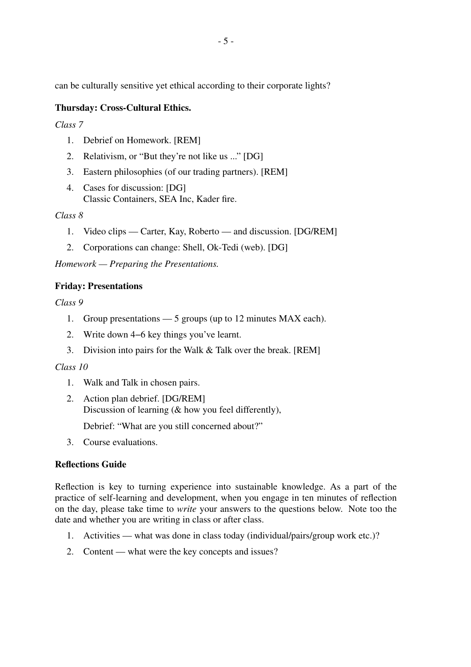can be culturally sensitive yet ethical according to their corporate lights?

# **Thursday: Cross-Cultural Ethics.**

*Class 7*

- 1. Debrief on Homework. [REM]
- 2. Relativism, or "But they're not like us ..." [DG]
- 3. Eastern philosophies (of our trading partners). [REM]
- 4. Cases for discussion: [DG] Classic Containers, SEA Inc, Kader fire.

## *Class 8*

- 1. Video clips Carter, Kay, Roberto and discussion. [DG/REM]
- 2. Corporations can change: Shell, Ok-Tedi (web). [DG]

*Homework — Preparing the Presentations.*

# **Friday: Presentations**

*Class 9*

- 1. Group presentations 5 groups (up to 12 minutes MAX each).
- 2. Write down 4−6 key things you've learnt.
- 3. Division into pairs for the Walk & Talk over the break. [REM]

# *Class 10*

- 1. Walk and Talk in chosen pairs.
- 2. Action plan debrief. [DG/REM] Discussion of learning (& how you feel differently),

Debrief: "What are you still concerned about?"

3. Course evaluations.

# **Reflections Guide**

Reflection is key to turning experience into sustainable knowledge. As a part of the practice of self-learning and development, when you engage in ten minutes of reflection on the day, please take time to *write* your answers to the questions below. Note too the date and whether you are writing in class or after class.

- 1. Activities what was done in class today (individual/pairs/group work etc.)?
- 2. Content what were the key concepts and issues?